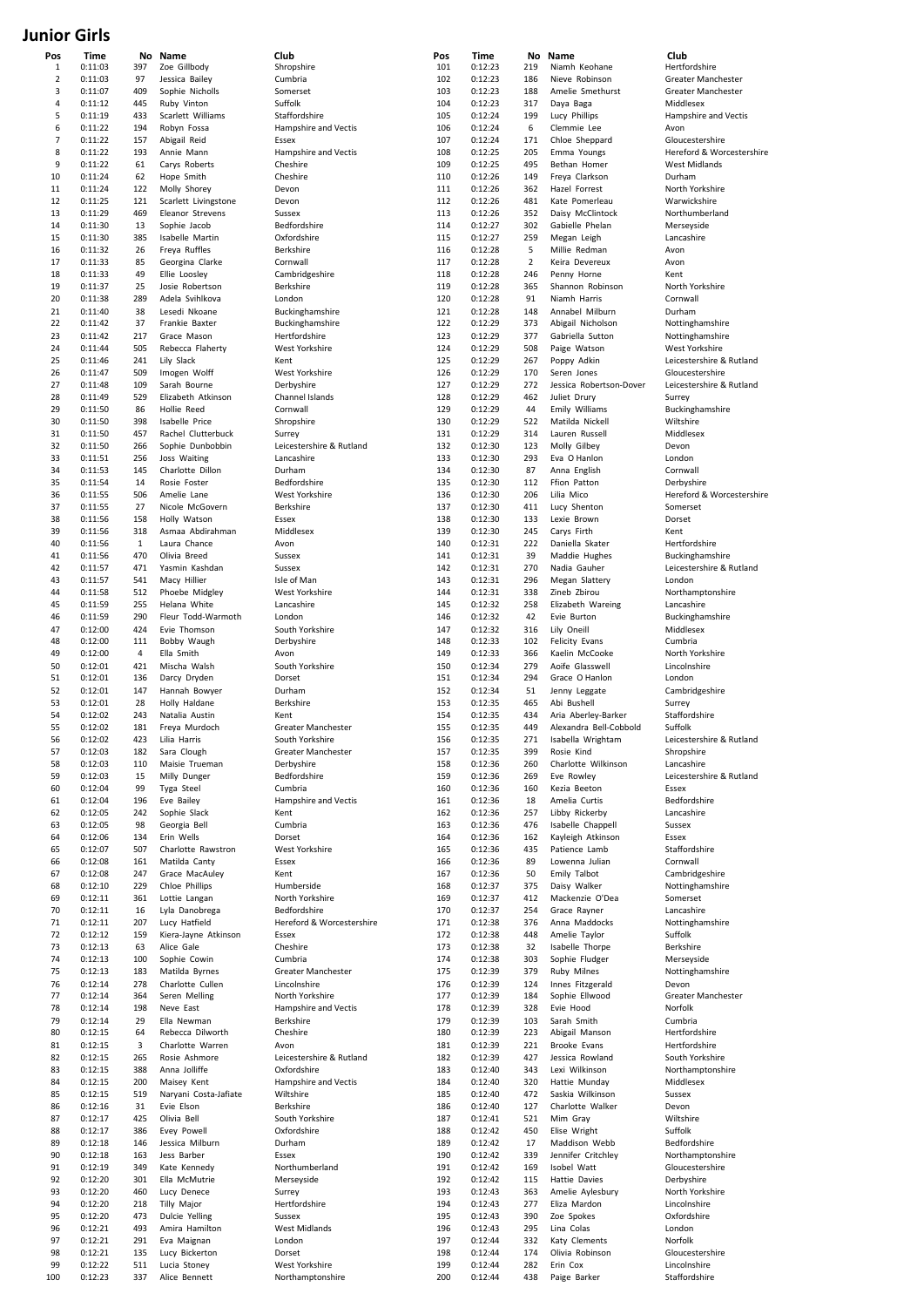## **Junior Girls**

| Pos<br>1       | Time<br>0:11:03    | 397          | No Name<br>Zoe Gillbody                  | Club<br>Shropshire                        | Pos<br>101 | Time<br>0:12:23    | 219            | No Name<br>Niamh Keohane                | Club<br>Hertfordshire                       |
|----------------|--------------------|--------------|------------------------------------------|-------------------------------------------|------------|--------------------|----------------|-----------------------------------------|---------------------------------------------|
| $\overline{2}$ | 0:11:03            | 97           | Jessica Bailey                           | Cumbria                                   | 102        | 0:12:23            | 186            | Nieve Robinson                          | Greater Manchester                          |
| 3              | 0:11:07            | 409          | Sophie Nicholls                          | Somerset                                  | 103        | 0:12:23            | 188            | Amelie Smethurst                        | Greater Manchester                          |
| 4              | 0:11:12            | 445          | Ruby Vinton                              | Suffolk                                   | 104        | 0:12:23            | 317            | Daya Baga                               | Middlesex                                   |
| 5<br>6         | 0:11:19<br>0:11:22 | 433<br>194   | Scarlett Williams<br>Robyn Fossa         | Staffordshire<br>Hampshire and Vectis     | 105<br>106 | 0:12:24<br>0:12:24 | 199<br>6       | Lucy Phillips<br>Clemmie Lee            | Hampshire and Vectis<br>Avon                |
| 7              | 0:11:22            | 157          | Abigail Reid                             | Essex                                     | 107        | 0:12:24            | 171            | Chloe Sheppard                          | Gloucestershire                             |
| 8              | 0:11:22            | 193          | Annie Mann                               | Hampshire and Vectis                      | 108        | 0:12:25            | 205            | Emma Youngs                             | Hereford & Worcestershire                   |
| 9              | 0:11:22            | 61           | Carys Roberts                            | Cheshire                                  | 109        | 0:12:25            | 495            | Bethan Homer                            | West Midlands                               |
| 10             | 0:11:24            | 62           | Hope Smith                               | Cheshire                                  | 110        | 0:12:26            | 149            | Freya Clarkson                          | Durham                                      |
| 11             | 0:11:24            | 122          | Molly Shorey                             | Devon                                     | 111        | 0:12:26            | 362            | Hazel Forrest                           | North Yorkshire                             |
| 12<br>13       | 0:11:25<br>0:11:29 | 121<br>469   | Scarlett Livingstone<br>Eleanor Strevens | Devon<br>Sussex                           | 112<br>113 | 0:12:26<br>0:12:26 | 481<br>352     | Kate Pomerleau<br>Daisy McClintock      | Warwickshire<br>Northumberland              |
| 14             | 0:11:30            | 13           | Sophie Jacob                             | Bedfordshire                              | 114        | 0:12:27            | 302            | Gabielle Phelan                         | Merseyside                                  |
| 15             | 0:11:30            | 385          | Isabelle Martin                          | Oxfordshire                               | 115        | 0:12:27            | 259            | Megan Leigh                             | Lancashire                                  |
| 16             | 0:11:32            | 26           | Freya Ruffles                            | Berkshire                                 | 116        | 0:12:28            | 5              | Millie Redman                           | Avon                                        |
| 17             | 0:11:33            | 85           | Georgina Clarke                          | Cornwall                                  | 117        | 0:12:28            | $\overline{2}$ | Keira Devereux                          | Avon                                        |
| 18<br>19       | 0:11:33<br>0:11:37 | 49<br>25     | Ellie Loosley<br>Josie Robertson         | Cambridgeshire<br>Berkshire               | 118<br>119 | 0:12:28<br>0:12:28 | 246<br>365     | Penny Horne<br>Shannon Robinson         | Kent<br>North Yorkshire                     |
| 20             | 0:11:38            | 289          | Adela Svihlkova                          | London                                    | 120        | 0:12:28            | 91             | Niamh Harris                            | Cornwall                                    |
| 21             | 0:11:40            | 38           | Lesedi Nkoane                            | Buckinghamshire                           | 121        | 0:12:28            | 148            | Annabel Milburn                         | Durham                                      |
| 22             | 0:11:42            | 37           | Frankie Baxter                           | Buckinghamshire                           | 122        | 0:12:29            | 373            | Abigail Nicholson                       | Nottinghamshire                             |
| 23             | 0:11:42            | 217          | Grace Mason                              | Hertfordshire                             | 123        | 0:12:29            | 377            | Gabriella Sutton                        | Nottinghamshire                             |
| 24             | 0:11:44            | 505          | Rebecca Flaherty                         | <b>West Yorkshire</b>                     | 124<br>125 | 0:12:29            | 508            | Paige Watson                            | West Yorkshire                              |
| 25<br>26       | 0:11:46<br>0:11:47 | 241<br>509   | Lily Slack<br>Imogen Wolff               | Kent<br>West Yorkshire                    | 126        | 0:12:29<br>0:12:29 | 267<br>170     | Poppy Adkin<br>Seren Jones              | Leicestershire & Rutland<br>Gloucestershire |
| 27             | 0:11:48            | 109          | Sarah Bourne                             | Derbyshire                                | 127        | 0:12:29            | 272            | Jessica Robertson-Dover                 | Leicestershire & Rutland                    |
| 28             | 0:11:49            | 529          | Elizabeth Atkinson                       | Channel Islands                           | 128        | 0:12:29            | 462            | Juliet Drury                            | Surrey                                      |
| 29             | 0:11:50            | 86           | Hollie Reed                              | Cornwall                                  | 129        | 0:12:29            | 44             | Emily Williams                          | Buckinghamshire                             |
| 30             | 0:11:50            | 398          | Isabelle Price                           | Shropshire                                | 130        | 0:12:29            | 522            | Matilda Nickell                         | Wiltshire                                   |
| 31             | 0:11:50            | 457          | Rachel Clutterbuck                       | Surrey                                    | 131        | 0:12:29            | 314            | Lauren Russell                          | Middlesex                                   |
| 32<br>33       | 0:11:50            | 266          | Sophie Dunbobbin                         | Leicestershire & Rutland                  | 132        | 0:12:30            | 123            | Molly Gilbey                            | Devon<br>London                             |
| 34             | 0:11:51<br>0:11:53 | 256<br>145   | Joss Waiting<br>Charlotte Dillon         | Lancashire<br>Durham                      | 133<br>134 | 0:12:30<br>0:12:30 | 293<br>87      | Eva O Hanlon<br>Anna English            | Cornwall                                    |
| 35             | 0:11:54            | 14           | Rosie Foster                             | Bedfordshire                              | 135        | 0:12:30            | 112            | Ffion Patton                            | Derbyshire                                  |
| 36             | 0:11:55            | 506          | Amelie Lane                              | West Yorkshire                            | 136        | 0:12:30            | 206            | Lilia Mico                              | Hereford & Worcestershire                   |
| 37             | 0:11:55            | 27           | Nicole McGovern                          | Berkshire                                 | 137        | 0:12:30            | 411            | Lucy Shenton                            | Somerset                                    |
| 38             | 0:11:56            | 158          | Holly Watson                             | Essex                                     | 138        | 0:12:30            | 133            | Lexie Brown                             | Dorset                                      |
| 39             | 0:11:56            | 318          | Asmaa Abdirahman                         | Middlesex                                 | 139        | 0:12:30            | 245            | Carys Firth                             | Kent                                        |
| 40             | 0:11:56            | $\mathbf{1}$ | Laura Chance                             | Avon                                      | 140        | 0:12:31            | 222<br>39      | Daniella Skater                         | Hertfordshire                               |
| 41<br>42       | 0:11:56<br>0:11:57 | 470<br>471   | Olivia Breed<br>Yasmin Kashdan           | Sussex<br>Sussex                          | 141<br>142 | 0:12:31<br>0:12:31 | 270            | Maddie Hughes<br>Nadia Gauher           | Buckinghamshire<br>Leicestershire & Rutland |
| 43             | 0:11:57            | 541          | Macy Hillier                             | Isle of Man                               | 143        | 0:12:31            | 296            | Megan Slattery                          | London                                      |
| 44             | 0:11:58            | 512          | Phoebe Midgley                           | West Yorkshire                            | 144        | 0:12:31            | 338            | Zineb Zbirou                            | Northamptonshire                            |
| 45             | 0:11:59            | 255          | Helana White                             | Lancashire                                | 145        | 0:12:32            | 258            | Elizabeth Wareing                       | Lancashire                                  |
| 46             | 0:11:59            | 290          | Fleur Todd-Warmoth                       | London                                    | 146        | 0:12:32            | 42             | Evie Burton                             | Buckinghamshire                             |
| 47             | 0:12:00            | 424          | Evie Thomson                             | South Yorkshire                           | 147        | 0:12:32            | 316            | Lily Oneill                             | Middlesex                                   |
| 48<br>49       | 0:12:00<br>0:12:00 | 111<br>4     | Bobby Waugh<br>Ella Smith                | Derbyshire                                | 148<br>149 | 0:12:33<br>0:12:33 | 102<br>366     | <b>Felicity Evans</b><br>Kaelin McCooke | Cumbria<br>North Yorkshire                  |
| 50             | 0:12:01            | 421          | Mischa Walsh                             | Avon<br>South Yorkshire                   | 150        | 0:12:34            | 279            | Aoife Glasswell                         | Lincolnshire                                |
| 51             | 0:12:01            | 136          | Darcy Dryden                             | Dorset                                    | 151        | 0:12:34            | 294            | Grace O Hanlon                          | London                                      |
| 52             | 0:12:01            | 147          | Hannah Bowyer                            | Durham                                    | 152        | 0:12:34            | 51             | Jenny Leggate                           | Cambridgeshire                              |
| 53             | 0:12:01            | 28           | Holly Haldane                            | Berkshire                                 | 153        | 0:12:35            | 465            | Abi Bushell                             | Surrey                                      |
| 54             | 0:12:02            | 243          | Natalia Austin                           | Kent                                      | 154        | 0:12:35            | 434            | Aria Aberley-Barker                     | Staffordshire                               |
| 55             | 0:12:02<br>0:12:02 | 181          | Freya Murdoch                            | Greater Manchester                        | 155        | 0:12:35            | 449            | Alexandra Bell-Cobbold                  | Suffolk                                     |
| 56<br>57       | 0:12:03            | 423<br>182   | Lilia Harris<br>Sara Clough              | South Yorkshire<br>Greater Manchester     | 156<br>157 | 0:12:35<br>0:12:35 | 271<br>399     | Isabella Wrightam<br>Rosie Kind         | Leicestershire & Rutland<br>Shropshire      |
| 58             | 0:12:03            | 110          | Maisie Trueman                           | Derbyshire                                | 158        | 0:12:36            | 260            | Charlotte Wilkinson                     | Lancashire                                  |
| 59             | 0:12:03            | 15           | Milly Dunger                             | Bedfordshire                              | 159        | 0:12:36            | 269            | Eve Rowley                              | Leicestershire & Rutland                    |
| 60             | 0:12:04            | 99           | Tyga Steel                               | Cumbria                                   | 160        | 0:12:36            | 160            | Kezia Beeton                            | Essex                                       |
| 61             | 0:12:04            | 196          | Eve Bailey                               | Hampshire and Vectis                      | 161        | 0:12:36            | 18             | Amelia Curtis                           | Bedfordshire                                |
| 62             | 0:12:05            | 242          | Sophie Slack                             | Kent                                      | 162        | 0:12:36            | 257            | Libby Rickerby                          | Lancashire                                  |
| 63<br>64       | 0:12:05<br>0:12:06 | 98<br>134    | Georgia Bell<br>Erin Wells               | Cumbria<br>Dorset                         | 163<br>164 | 0:12:36<br>0:12:36 | 476<br>162     | Isabelle Chappell<br>Kayleigh Atkinson  | Sussex<br>Essex                             |
| 65             | 0:12:07            | 507          | Charlotte Rawstron                       | <b>West Yorkshire</b>                     | 165        | 0:12:36            | 435            | Patience Lamb                           | Staffordshire                               |
| 66             | 0:12:08            | 161          | Matilda Canty                            | Essex                                     | 166        | 0:12:36            | 89             | Lowenna Julian                          | Cornwall                                    |
| 67             | 0:12:08            | 247          | Grace MacAuley                           | Kent                                      | 167        | 0:12:36            | 50             | Emily Talbot                            | Cambridgeshire                              |
| 68             | 0:12:10            | 229          | Chloe Phillips                           | Humberside                                | 168        | 0:12:37            | 375            | Daisy Walker                            | Nottinghamshire                             |
| 69             | 0:12:11            | 361          | Lottie Langan                            | North Yorkshire                           | 169        | 0:12:37            | 412            | Mackenzie O'Dea                         | Somerset                                    |
| 70<br>71       | 0:12:11<br>0:12:11 | 16<br>207    | Lyla Danobrega<br>Lucy Hatfield          | Bedfordshire<br>Hereford & Worcestershire | 170<br>171 | 0:12:37<br>0:12:38 | 254<br>376     | Grace Rayner<br>Anna Maddocks           | Lancashire<br>Nottinghamshire               |
| 72             | 0:12:12            | 159          | Kiera-Jayne Atkinson                     | Essex                                     | 172        | 0:12:38            | 448            | Amelie Taylor                           | Suffolk                                     |
| 73             | 0:12:13            | 63           | Alice Gale                               | Cheshire                                  | 173        | 0:12:38            | 32             | Isabelle Thorpe                         | Berkshire                                   |
| 74             | 0:12:13            | 100          | Sophie Cowin                             | Cumbria                                   | 174        | 0:12:38            | 303            | Sophie Fludger                          | Merseyside                                  |
| 75             | 0:12:13            | 183          | Matilda Byrnes                           | Greater Manchester                        | 175        | 0:12:39            | 379            | Ruby Milnes                             | Nottinghamshire                             |
| 76             | 0:12:14            | 278          | Charlotte Cullen                         | Lincolnshire                              | 176        | 0:12:39            | 124            | Innes Fitzgerald                        | Devon                                       |
| 77             | 0:12:14            | 364          | Seren Melling                            | North Yorkshire                           | 177        | 0:12:39            | 184            | Sophie Ellwood                          | Greater Manchester                          |
| 78<br>79       | 0:12:14<br>0:12:14 | 198<br>29    | Neve East<br>Ella Newman                 | Hampshire and Vectis<br>Berkshire         | 178<br>179 | 0:12:39<br>0:12:39 | 328<br>103     | Evie Hood<br>Sarah Smith                | Norfolk<br>Cumbria                          |
| 80             | 0:12:15            | 64           | Rebecca Dilworth                         | Cheshire                                  | 180        | 0:12:39            | 223            | Abigail Manson                          | Hertfordshire                               |
| 81             | 0:12:15            | 3            | Charlotte Warren                         | Avon                                      | 181        | 0:12:39            | 221            | Brooke Evans                            | Hertfordshire                               |
| 82             | 0:12:15            | 265          | Rosie Ashmore                            | Leicestershire & Rutland                  | 182        | 0:12:39            | 427            | Jessica Rowland                         | South Yorkshire                             |
| 83             | 0:12:15            | 388          | Anna Jolliffe                            | Oxfordshire                               | 183        | 0:12:40            | 343            | Lexi Wilkinson                          | Northamptonshire                            |
| 84             | 0:12:15            | 200          | Maisey Kent                              | Hampshire and Vectis                      | 184        | 0:12:40            | 320            | Hattie Munday                           | Middlesex                                   |
| 85<br>86       | 0:12:15<br>0:12:16 | 519<br>31    | Naryani Costa-Jafiate                    | Wiltshire<br>Berkshire                    | 185<br>186 | 0:12:40<br>0:12:40 | 472<br>127     | Saskia Wilkinson<br>Charlotte Walker    | Sussex                                      |
| 87             | 0:12:17            | 425          | Evie Elson<br>Olivia Bell                | South Yorkshire                           | 187        | 0:12:41            | 521            | Mim Gray                                | Devon<br>Wiltshire                          |
| 88             | 0:12:17            | 386          | Evey Powell                              | Oxfordshire                               | 188        | 0:12:42            | 450            | Elise Wright                            | Suffolk                                     |
| 89             | 0:12:18            | 146          | Jessica Milburn                          | Durham                                    | 189        | 0:12:42            | 17             | Maddison Webb                           | Bedfordshire                                |
| 90             | 0:12:18            | 163          | Jess Barber                              | Essex                                     | 190        | 0:12:42            | 339            | Jennifer Critchley                      | Northamptonshire                            |
| 91             | 0:12:19            | 349          | Kate Kennedy                             | Northumberland                            | 191        | 0:12:42            | 169            | Isobel Watt                             | Gloucestershire                             |
| 92             | 0:12:20            | 301          | Ella McMutrie                            | Merseyside                                | 192        | 0:12:42            | 115            | Hattie Davies                           | Derbyshire                                  |
| 93<br>94       | 0:12:20<br>0:12:20 | 460<br>218   | Lucy Denece<br>Tilly Major               | Surrey<br>Hertfordshire                   | 193<br>194 | 0:12:43<br>0:12:43 | 363<br>277     | Amelie Aylesbury<br>Eliza Mardon        | North Yorkshire<br>Lincolnshire             |
| 95             | 0:12:20            | 473          | Dulcie Yelling                           | Sussex                                    | 195        | 0:12:43            | 390            | Zoe Spokes                              | Oxfordshire                                 |
| 96             | 0:12:21            | 493          | Amira Hamilton                           | <b>West Midlands</b>                      | 196        | 0:12:43            | 295            | Lina Colas                              | London                                      |
| 97             | 0:12:21            | 291          | Eva Maignan                              | London                                    | 197        | 0:12:44            | 332            | Katy Clements                           | Norfolk                                     |
| 98             | 0:12:21            | 135          | Lucy Bickerton                           | Dorset                                    | 198        | 0:12:44            | 174            | Olivia Robinson                         | Gloucestershire                             |
| 99             | 0:12:22            | 511          | Lucia Stoney                             | West Yorkshire                            | 199        | 0:12:44            | 282            | Erin Cox                                | Lincolnshire                                |
| 100            | 0:12:23            | 337          | Alice Bennett                            | Northamptonshire                          | 200        | 0:12:44            | 438            | Paige Barker                            | Staffordshire                               |